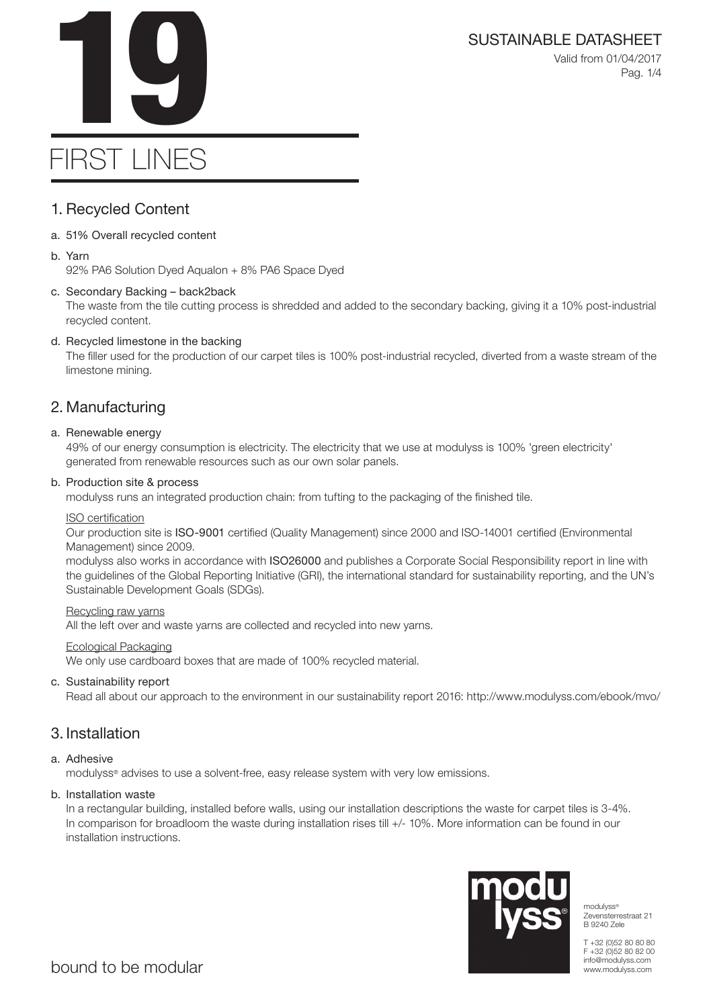# SUSTAINABLE DATASHEET<br>Valid from 01/04/2017<br>Pag. 1/4

Valid from 01/04/2017 Pag. 1/4

# FIRST LINES

# 1. Recycled Content

- a. 51% Overall recycled content
- b. Yarn

92% PA6 Solution Dyed Aqualon + 8% PA6 Space Dyed

# c. Secondary Backing – back2back

The waste from the tile cutting process is shredded and added to the secondary backing, giving it a 10% post-industrial recycled content.

# d. Recycled limestone in the backing

The filler used for the production of our carpet tiles is 100% post-industrial recycled, diverted from a waste stream of the limestone mining.

# 2. Manufacturing

# a. Renewable energy

49% of our energy consumption is electricity. The electricity that we use at modulyss is 100% 'green electricity' generated from renewable resources such as our own solar panels.

# b. Production site & process

modulyss runs an integrated production chain: from tufting to the packaging of the finished tile.

### ISO certification

Our production site is ISO-9001 certified (Quality Management) since 2000 and ISO-14001 certified (Environmental Management) since 2009.

modulyss also works in accordance with ISO26000 and publishes a Corporate Social Responsibility report in line with the guidelines of the Global Reporting Initiative (GRI), the international standard for sustainability reporting, and the UN's Sustainable Development Goals (SDGs).

### Recycling raw yarns

All the left over and waste yarns are collected and recycled into new yarns.

### Ecological Packaging

We only use cardboard boxes that are made of 100% recycled material.

# c. Sustainability report

Read all about our approach to the environment in our sustainability report 2016: http://www.modulyss.com/ebook/mvo/

# 3. Installation

# a. Adhesive

modulyss® advises to use a solvent-free, easy release system with very low emissions.

### b. Installation waste

In a rectangular building, installed before walls, using our installation descriptions the waste for carpet tiles is 3-4%. In comparison for broadloom the waste during installation rises till +/- 10%. More information can be found in our installation instructions.



modulyss® Zevensterrestraat 21 B 9240 Zele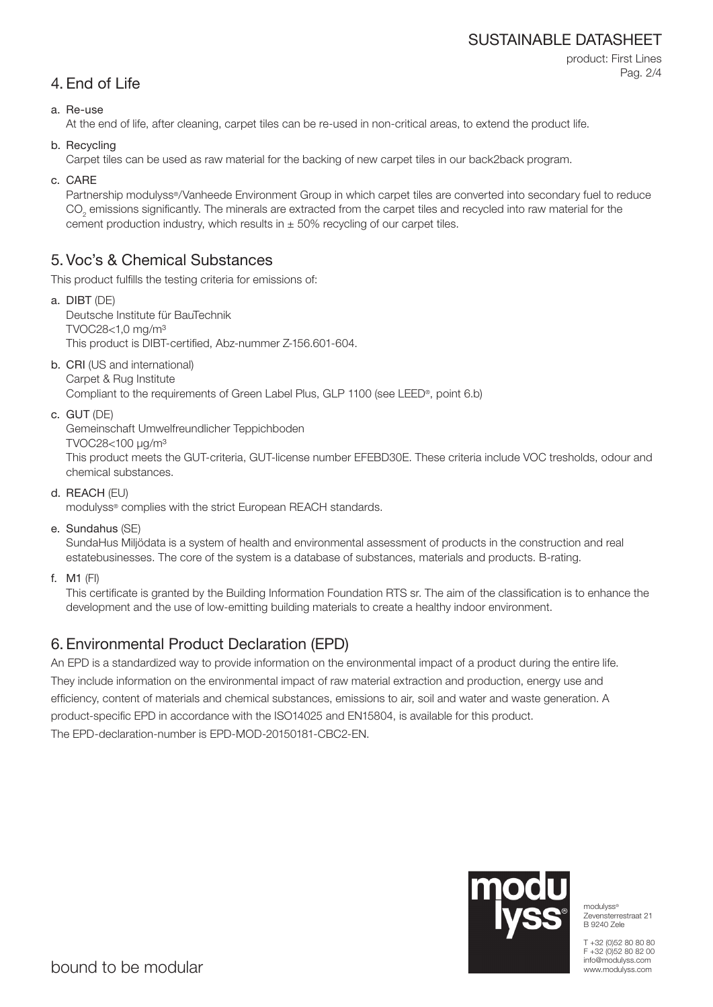# SUSTAINABLE DATASHEET

```
product: First Lines
Pag. 2/4
```
# 4. End of Life

# a. Re-use

At the end of life, after cleaning, carpet tiles can be re-used in non-critical areas, to extend the product life.

b. Recycling

Carpet tiles can be used as raw material for the backing of new carpet tiles in our back2back program.

c. CARE

Partnership modulyss®/Vanheede Environment Group in which carpet tiles are converted into secondary fuel to reduce  $\mathrm{CO}_2$  emissions significantly. The minerals are extracted from the carpet tiles and recycled into raw material for the cement production industry, which results in  $\pm$  50% recycling of our carpet tiles.

# 5. Voc's & Chemical Substances

This product fulfills the testing criteria for emissions of:

- a. DIBT (DE) Deutsche Institute für BauTechnik TVOC28<1,0 mg/m³ This product is DIBT-certified, Abz-nummer Z-156.601-604.
- b. CRI (US and international) Carpet & Rug Institute

Compliant to the requirements of Green Label Plus, GLP 1100 (see LEED®, point 6.b)

c. GUT (DE)

Gemeinschaft Umwelfreundlicher Teppichboden

TVOC28<100 μg/m³

This product meets the GUT-criteria, GUT-license number EFEBD30E. These criteria include VOC tresholds, odour and chemical substances.

d. REACH (EU)

modulyss® complies with the strict European REACH standards.

e. Sundahus (SE)

SundaHus Miljödata is a system of health and environmental assessment of products in the construction and real estatebusinesses. The core of the system is a database of substances, materials and products. B-rating.

f. M1 (FI)

This certificate is granted by the Building Information Foundation RTS sr. The aim of the classification is to enhance the development and the use of low-emitting building materials to create a healthy indoor environment.

# 6. Environmental Product Declaration (EPD)

An EPD is a standardized way to provide information on the environmental impact of a product during the entire life. They include information on the environmental impact of raw material extraction and production, energy use and efficiency, content of materials and chemical substances, emissions to air, soil and water and waste generation. A product-specific EPD in accordance with the ISO14025 and EN15804, is available for this product. The EPD-declaration-number is EPD-MOD-20150181-CBC2-EN.



modulyss® Zevensterrestraat 21 B 9240 Zele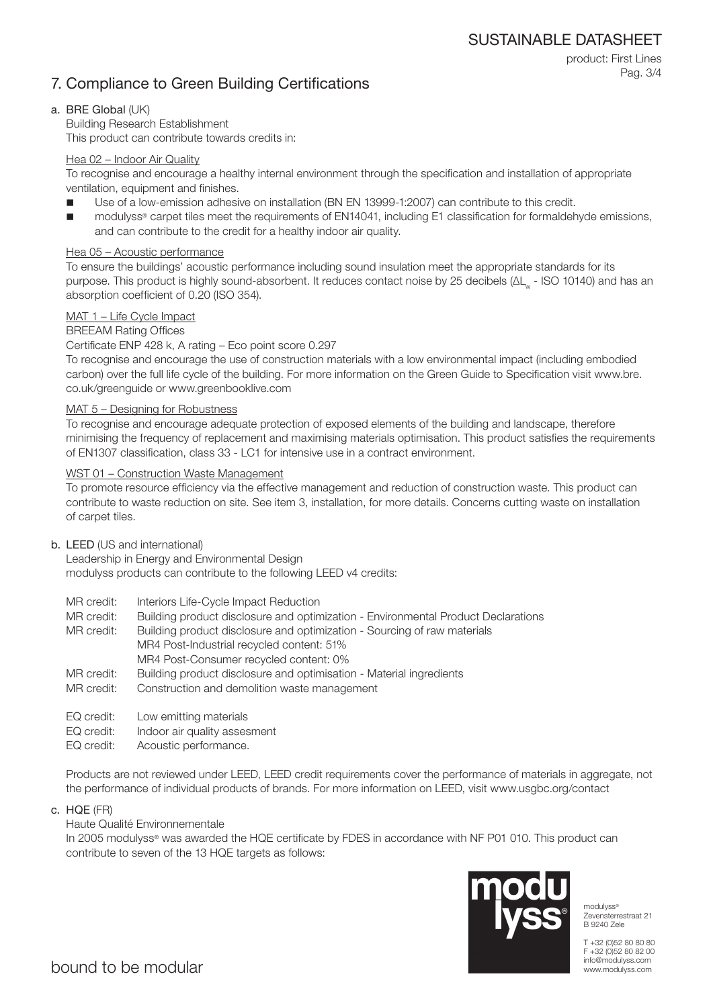# 7. Compliance to Green Building Certifications

product: First Lines Pag. 3/4

# a. BRE Global (UK)

Building Research Establishment This product can contribute towards credits in:

# Hea 02 – Indoor Air Quality

To recognise and encourage a healthy internal environment through the specification and installation of appropriate ventilation, equipment and finishes.

- Use of a low-emission adhesive on installation (BN EN 13999-1:2007) can contribute to this credit.
- modulyss® carpet tiles meet the requirements of EN14041, including E1 classification for formaldehyde emissions, and can contribute to the credit for a healthy indoor air quality.

# Hea 05 – Acoustic performance

To ensure the buildings' acoustic performance including sound insulation meet the appropriate standards for its purpose. This product is highly sound-absorbent. It reduces contact noise by 25 decibels (ΔL<sub>w</sub> - ISO 10140) and has an absorption coefficient of 0.20 (ISO 354).

# MAT 1 – Life Cycle Impact

# BREEAM Rating Offices

Certificate ENP 428 k, A rating – Eco point score 0.297

To recognise and encourage the use of construction materials with a low environmental impact (including embodied carbon) over the full life cycle of the building. For more information on the Green Guide to Specification visit www.bre. co.uk/greenguide or www.greenbooklive.com

### MAT 5 – Designing for Robustness

To recognise and encourage adequate protection of exposed elements of the building and landscape, therefore minimising the frequency of replacement and maximising materials optimisation. This product satisfies the requirements of EN1307 classification, class 33 - LC1 for intensive use in a contract environment.

# WST 01 – Construction Waste Management

To promote resource efficiency via the effective management and reduction of construction waste. This product can contribute to waste reduction on site. See item 3, installation, for more details. Concerns cutting waste on installation of carpet tiles.

### b. LEED (US and international)

Leadership in Energy and Environmental Design modulyss products can contribute to the following LEED v4 credits:

- MR credit: Interiors Life-Cycle Impact Reduction
- MR credit: Building product disclosure and optimization Environmental Product Declarations

MR credit: Building product disclosure and optimization - Sourcing of raw materials MR4 Post-Industrial recycled content: 51% MR4 Post-Consumer recycled content: 0%

- MR credit: Building product disclosure and optimisation Material ingredients
- MR credit: Construction and demolition waste management
- EQ credit: Low emitting materials
- EQ credit: Indoor air quality assesment
- EQ credit: Acoustic performance.

Products are not reviewed under LEED, LEED credit requirements cover the performance of materials in aggregate, not the performance of individual products of brands. For more information on LEED, visit www.usgbc.org/contact

c. HQE (FR)

# Haute Qualité Environnementale

In 2005 modulyss® was awarded the HQE certificate by FDES in accordance with NF P01 010. This product can contribute to seven of the 13 HQE targets as follows:



modulyss® Zevensterrestraat 21 B 9240 Zele